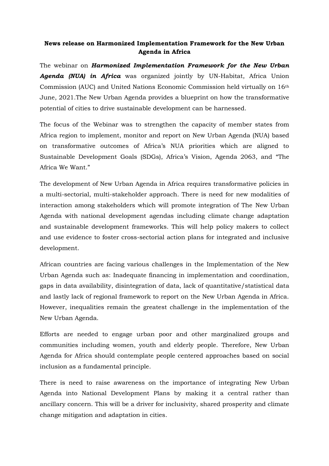## **News release on Harmonized Implementation Framework for the New Urban Agenda in Africa**

The webinar on *Harmonized Implementation Framework for the New Urban Agenda (NUA) in Africa* was organized jointly by UN-Habitat, Africa Union Commission (AUC) and United Nations Economic Commission held virtually on 16th June, 2021.The New Urban Agenda provides a blueprint on how the transformative potential of cities to drive sustainable development can be harnessed.

The focus of the Webinar was to strengthen the capacity of member states from Africa region to implement, monitor and report on New Urban Agenda (NUA) based on transformative outcomes of Africa's NUA priorities which are aligned to Sustainable Development Goals (SDGs), Africa's Vision, Agenda 2063, and "The Africa We Want."

The development of New Urban Agenda in Africa requires transformative policies in a multi-sectorial, multi-stakeholder approach. There is need for new modalities of interaction among stakeholders which will promote integration of The New Urban Agenda with national development agendas including climate change adaptation and sustainable development frameworks. This will help policy makers to collect and use evidence to foster cross-sectorial action plans for integrated and inclusive development.

African countries are facing various challenges in the Implementation of the New Urban Agenda such as: Inadequate financing in implementation and coordination, gaps in data availability, disintegration of data, lack of quantitative/statistical data and lastly lack of regional framework to report on the New Urban Agenda in Africa. However, inequalities remain the greatest challenge in the implementation of the New Urban Agenda.

Efforts are needed to engage urban poor and other marginalized groups and communities including women, youth and elderly people. Therefore, New Urban Agenda for Africa should contemplate people centered approaches based on social inclusion as a fundamental principle.

There is need to raise awareness on the importance of integrating New Urban Agenda into National Development Plans by making it a central rather than ancillary concern. This will be a driver for inclusivity, shared prosperity and climate change mitigation and adaptation in cities.